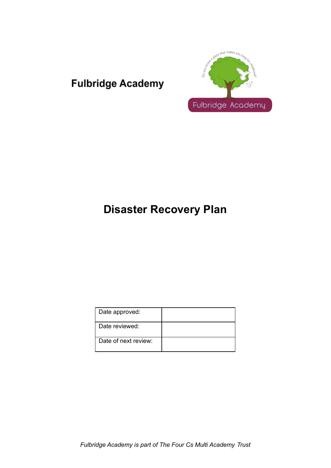



# **Disaster Recovery Plan**

| Date approved:       |  |
|----------------------|--|
| Date reviewed:       |  |
| Date of next review: |  |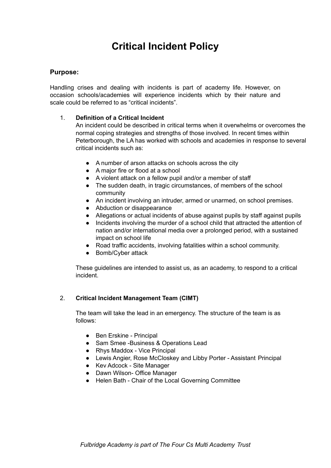# **Critical Incident Policy**

### **Purpose:**

Handling crises and dealing with incidents is part of academy life. However, on occasion schools/academies will experience incidents which by their nature and scale could be referred to as "critical incidents".

### 1. **Definition of a Critical Incident**

An incident could be described in critical terms when it overwhelms or overcomes the normal coping strategies and strengths of those involved. In recent times within Peterborough, the LA has worked with schools and academies in response to several critical incidents such as:

- A number of arson attacks on schools across the city
- A major fire or flood at a school
- A violent attack on a fellow pupil and/or a member of staff
- The sudden death, in tragic circumstances, of members of the school community
- An incident involving an intruder, armed or unarmed, on school premises.
- Abduction or disappearance
- Allegations or actual incidents of abuse against pupils by staff against pupils
- Incidents involving the murder of a school child that attracted the attention of nation and/or international media over a prolonged period, with a sustained impact on school life
- Road traffic accidents, involving fatalities within a school community.
- Bomb/Cyber attack

These guidelines are intended to assist us, as an academy, to respond to a critical incident.

### 2. **Critical Incident Management Team (CIMT)**

The team will take the lead in an emergency. The structure of the team is as follows:

- Ben Erskine Principal
- Sam Smee -Business & Operations Lead
- Rhys Maddox Vice Principal
- Lewis Angier, Rose McCloskey and Libby Porter Assistant Principal
- Kev Adcock Site Manager
- Dawn Wilson- Office Manager
- Helen Bath Chair of the Local Governing Committee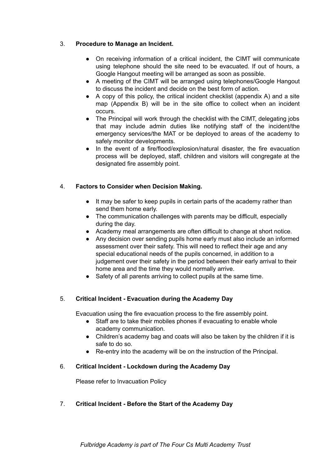### 3. **Procedure to Manage an Incident.**

- On receiving information of a critical incident, the CIMT will communicate using telephone should the site need to be evacuated. If out of hours, a Google Hangout meeting will be arranged as soon as possible.
- A meeting of the CIMT will be arranged using telephones/Google Hangout to discuss the incident and decide on the best form of action.
- A copy of this policy, the critical incident checklist (appendix A) and a site map (Appendix B) will be in the site office to collect when an incident occurs.
- The Principal will work through the checklist with the CIMT, delegating jobs that may include admin duties like notifying staff of the incident/the emergency services/the MAT or be deployed to areas of the academy to safely monitor developments.
- In the event of a fire/flood/explosion/natural disaster, the fire evacuation process will be deployed, staff, children and visitors will congregate at the designated fire assembly point.

#### 4. **Factors to Consider when Decision Making.**

- It may be safer to keep pupils in certain parts of the academy rather than send them home early.
- The communication challenges with parents may be difficult, especially during the day.
- Academy meal arrangements are often difficult to change at short notice.
- Any decision over sending pupils home early must also include an informed assessment over their safety. This will need to reflect their age and any special educational needs of the pupils concerned, in addition to a judgement over their safety in the period between their early arrival to their home area and the time they would normally arrive.
- Safety of all parents arriving to collect pupils at the same time.

#### 5. **Critical Incident - Evacuation during the Academy Day**

Evacuation using the fire evacuation process to the fire assembly point.

- Staff are to take their mobiles phones if evacuating to enable whole academy communication.
- Children's academy bag and coats will also be taken by the children if it is safe to do so.
- Re-entry into the academy will be on the instruction of the Principal.

#### 6. **Critical Incident - Lockdown during the Academy Day**

Please refer to Invacuation Policy

#### 7. **Critical Incident - Before the Start of the Academy Day**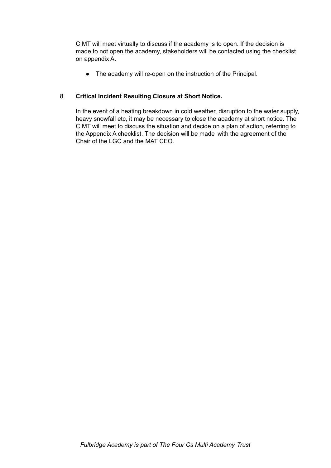CIMT will meet virtually to discuss if the academy is to open. If the decision is made to not open the academy, stakeholders will be contacted using the checklist on appendix A.

● The academy will re-open on the instruction of the Principal.

### 8. **Critical Incident Resulting Closure at Short Notice.**

In the event of a heating breakdown in cold weather, disruption to the water supply, heavy snowfall etc, it may be necessary to close the academy at short notice. The CIMT will meet to discuss the situation and decide on a plan of action, referring to the Appendix A checklist. The decision will be made with the agreement of the Chair of the LGC and the MAT CEO.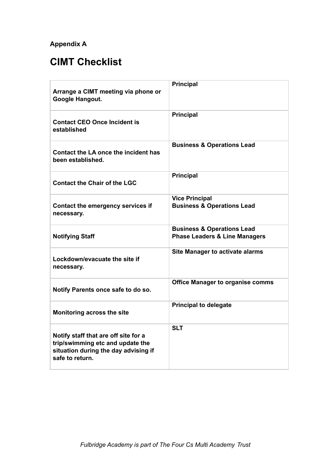## **Appendix A**

# **CIMT Checklist**

| Arrange a CIMT meeting via phone or<br>Google Hangout.                                                                              | <b>Principal</b>                                                                  |
|-------------------------------------------------------------------------------------------------------------------------------------|-----------------------------------------------------------------------------------|
| <b>Contact CEO Once Incident is</b><br>established                                                                                  | <b>Principal</b>                                                                  |
| Contact the LA once the incident has<br>been established.                                                                           | <b>Business &amp; Operations Lead</b>                                             |
| <b>Contact the Chair of the LGC</b>                                                                                                 | <b>Principal</b>                                                                  |
| Contact the emergency services if<br>necessary.                                                                                     | <b>Vice Principal</b><br><b>Business &amp; Operations Lead</b>                    |
| <b>Notifying Staff</b>                                                                                                              | <b>Business &amp; Operations Lead</b><br><b>Phase Leaders &amp; Line Managers</b> |
| Lockdown/evacuate the site if<br>necessary.                                                                                         | <b>Site Manager to activate alarms</b>                                            |
| Notify Parents once safe to do so.                                                                                                  | <b>Office Manager to organise comms</b>                                           |
| Monitoring across the site                                                                                                          | <b>Principal to delegate</b>                                                      |
| Notify staff that are off site for a<br>trip/swimming etc and update the<br>situation during the day advising if<br>safe to return. | <b>SLT</b>                                                                        |